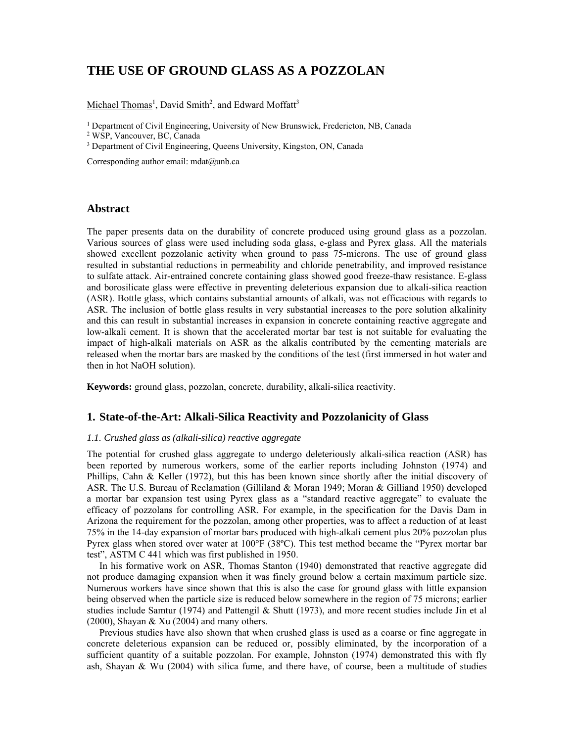# **THE USE OF GROUND GLASS AS A POZZOLAN**

Michael Thomas<sup>1</sup>, David Smith<sup>2</sup>, and Edward Moffatt<sup>3</sup>

<sup>1</sup> Department of Civil Engineering, University of New Brunswick, Fredericton, NB, Canada

2 WSP, Vancouver, BC, Canada

<sup>3</sup> Department of Civil Engineering, Queens University, Kingston, ON, Canada

Corresponding author email: mdat@unb.ca

### **Abstract**

The paper presents data on the durability of concrete produced using ground glass as a pozzolan. Various sources of glass were used including soda glass, e-glass and Pyrex glass. All the materials showed excellent pozzolanic activity when ground to pass 75-microns. The use of ground glass resulted in substantial reductions in permeability and chloride penetrability, and improved resistance to sulfate attack. Air-entrained concrete containing glass showed good freeze-thaw resistance. E-glass and borosilicate glass were effective in preventing deleterious expansion due to alkali-silica reaction (ASR). Bottle glass, which contains substantial amounts of alkali, was not efficacious with regards to ASR. The inclusion of bottle glass results in very substantial increases to the pore solution alkalinity and this can result in substantial increases in expansion in concrete containing reactive aggregate and low-alkali cement. It is shown that the accelerated mortar bar test is not suitable for evaluating the impact of high-alkali materials on ASR as the alkalis contributed by the cementing materials are released when the mortar bars are masked by the conditions of the test (first immersed in hot water and then in hot NaOH solution).

**Keywords:** ground glass, pozzolan, concrete, durability, alkali-silica reactivity.

## **1. State-of-the-Art: Alkali-Silica Reactivity and Pozzolanicity of Glass**

## *1.1. Crushed glass as (alkali-silica) reactive aggregate*

The potential for crushed glass aggregate to undergo deleteriously alkali-silica reaction (ASR) has been reported by numerous workers, some of the earlier reports including Johnston (1974) and Phillips, Cahn & Keller (1972), but this has been known since shortly after the initial discovery of ASR. The U.S. Bureau of Reclamation (Gilliland & Moran 1949; Moran & Gilliand 1950) developed a mortar bar expansion test using Pyrex glass as a "standard reactive aggregate" to evaluate the efficacy of pozzolans for controlling ASR. For example, in the specification for the Davis Dam in Arizona the requirement for the pozzolan, among other properties, was to affect a reduction of at least 75% in the 14-day expansion of mortar bars produced with high-alkali cement plus 20% pozzolan plus Pyrex glass when stored over water at 100°F (38ºC). This test method became the "Pyrex mortar bar test", ASTM C 441 which was first published in 1950.

In his formative work on ASR, Thomas Stanton (1940) demonstrated that reactive aggregate did not produce damaging expansion when it was finely ground below a certain maximum particle size. Numerous workers have since shown that this is also the case for ground glass with little expansion being observed when the particle size is reduced below somewhere in the region of 75 microns; earlier studies include Samtur (1974) and Pattengil & Shutt (1973), and more recent studies include Jin et al (2000), Shayan & Xu (2004) and many others.

Previous studies have also shown that when crushed glass is used as a coarse or fine aggregate in concrete deleterious expansion can be reduced or, possibly eliminated, by the incorporation of a sufficient quantity of a suitable pozzolan. For example, Johnston (1974) demonstrated this with fly ash, Shayan & Wu (2004) with silica fume, and there have, of course, been a multitude of studies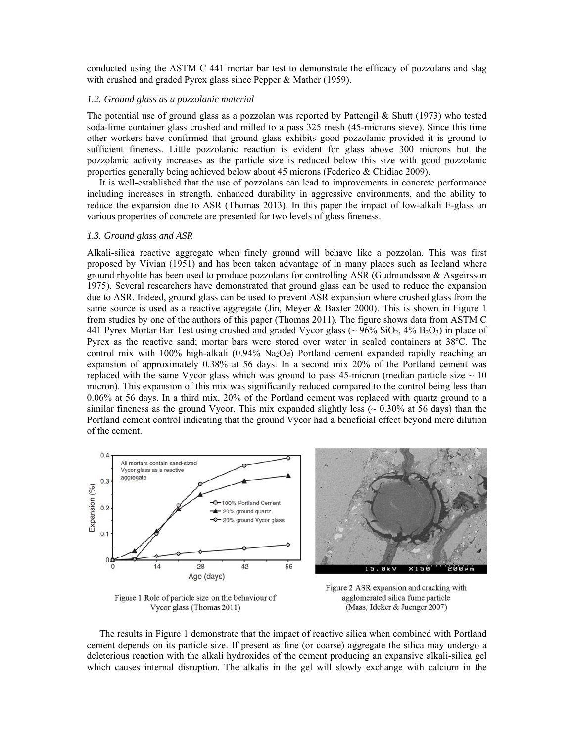conducted using the ASTM C 441 mortar bar test to demonstrate the efficacy of pozzolans and slag with crushed and graded Pyrex glass since Pepper & Mather (1959).

## *1.2. Ground glass as a pozzolanic material*

The potential use of ground glass as a pozzolan was reported by Pattengil  $\&$  Shutt (1973) who tested soda-lime container glass crushed and milled to a pass 325 mesh (45-microns sieve). Since this time other workers have confirmed that ground glass exhibits good pozzolanic provided it is ground to sufficient fineness. Little pozzolanic reaction is evident for glass above 300 microns but the pozzolanic activity increases as the particle size is reduced below this size with good pozzolanic properties generally being achieved below about 45 microns (Federico & Chidiac 2009).

It is well-established that the use of pozzolans can lead to improvements in concrete performance including increases in strength, enhanced durability in aggressive environments, and the ability to reduce the expansion due to ASR (Thomas 2013). In this paper the impact of low-alkali E-glass on various properties of concrete are presented for two levels of glass fineness.

### *1.3. Ground glass and ASR*

Alkali-silica reactive aggregate when finely ground will behave like a pozzolan. This was first proposed by Vivian (1951) and has been taken advantage of in many places such as Iceland where ground rhyolite has been used to produce pozzolans for controlling ASR (Gudmundsson  $\&$  Asgeirsson 1975). Several researchers have demonstrated that ground glass can be used to reduce the expansion due to ASR. Indeed, ground glass can be used to prevent ASR expansion where crushed glass from the same source is used as a reactive aggregate (Jin, Meyer & Baxter 2000). This is shown in Figure 1 from studies by one of the authors of this paper (Thomas 2011). The figure shows data from ASTM C 441 Pyrex Mortar Bar Test using crushed and graded Vycor glass ( $\sim$  96% SiO<sub>2</sub>, 4% B<sub>2</sub>O<sub>3</sub>) in place of Pyrex as the reactive sand; mortar bars were stored over water in sealed containers at 38ºC. The control mix with 100% high-alkali (0.94% Na2Oe) Portland cement expanded rapidly reaching an expansion of approximately 0.38% at 56 days. In a second mix 20% of the Portland cement was replaced with the same Vycor glass which was ground to pass 45-micron (median particle size  $\sim 10$ ) micron). This expansion of this mix was significantly reduced compared to the control being less than 0.06% at 56 days. In a third mix, 20% of the Portland cement was replaced with quartz ground to a similar fineness as the ground Vycor. This mix expanded slightly less ( $\sim 0.30\%$  at 56 days) than the Portland cement control indicating that the ground Vycor had a beneficial effect beyond mere dilution of the cement.



Figure 1 Role of particle size on the behaviour of Vycor glass (Thomas 2011)

 $15.8kV$  $x150$  $20011$ 

Figure 2 ASR expansion and cracking with agglomerated silica fume particle (Maas, Ideker & Juenger 2007)

The results in Figure 1 demonstrate that the impact of reactive silica when combined with Portland cement depends on its particle size. If present as fine (or coarse) aggregate the silica may undergo a deleterious reaction with the alkali hydroxides of the cement producing an expansive alkali-silica gel which causes internal disruption. The alkalis in the gel will slowly exchange with calcium in the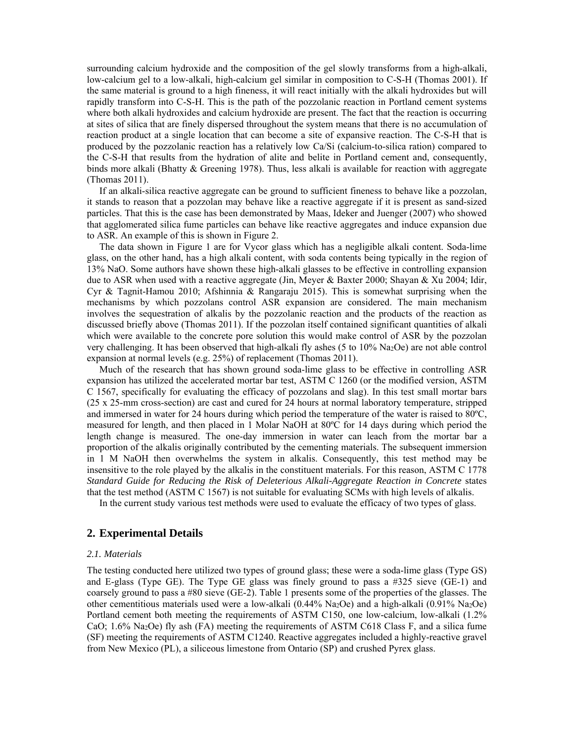surrounding calcium hydroxide and the composition of the gel slowly transforms from a high-alkali, low-calcium gel to a low-alkali, high-calcium gel similar in composition to C-S-H (Thomas 2001). If the same material is ground to a high fineness, it will react initially with the alkali hydroxides but will rapidly transform into C-S-H. This is the path of the pozzolanic reaction in Portland cement systems where both alkali hydroxides and calcium hydroxide are present. The fact that the reaction is occurring at sites of silica that are finely dispersed throughout the system means that there is no accumulation of reaction product at a single location that can become a site of expansive reaction. The C-S-H that is produced by the pozzolanic reaction has a relatively low Ca/Si (calcium-to-silica ration) compared to the C-S-H that results from the hydration of alite and belite in Portland cement and, consequently, binds more alkali (Bhatty & Greening 1978). Thus, less alkali is available for reaction with aggregate (Thomas 2011).

If an alkali-silica reactive aggregate can be ground to sufficient fineness to behave like a pozzolan, it stands to reason that a pozzolan may behave like a reactive aggregate if it is present as sand-sized particles. That this is the case has been demonstrated by Maas, Ideker and Juenger (2007) who showed that agglomerated silica fume particles can behave like reactive aggregates and induce expansion due to ASR. An example of this is shown in Figure 2.

The data shown in Figure 1 are for Vycor glass which has a negligible alkali content. Soda-lime glass, on the other hand, has a high alkali content, with soda contents being typically in the region of 13% NaO. Some authors have shown these high-alkali glasses to be effective in controlling expansion due to ASR when used with a reactive aggregate (Jin, Meyer & Baxter 2000; Shayan & Xu 2004; Idir, Cyr & Tagnit-Hamou 2010; Afshinnia & Rangaraju 2015). This is somewhat surprising when the mechanisms by which pozzolans control ASR expansion are considered. The main mechanism involves the sequestration of alkalis by the pozzolanic reaction and the products of the reaction as discussed briefly above (Thomas 2011). If the pozzolan itself contained significant quantities of alkali which were available to the concrete pore solution this would make control of ASR by the pozzolan very challenging. It has been observed that high-alkali fly ashes (5 to 10% Na2Oe) are not able control expansion at normal levels (e.g. 25%) of replacement (Thomas 2011).

Much of the research that has shown ground soda-lime glass to be effective in controlling ASR expansion has utilized the accelerated mortar bar test, ASTM C 1260 (or the modified version, ASTM C 1567, specifically for evaluating the efficacy of pozzolans and slag). In this test small mortar bars (25 x 25-mm cross-section) are cast and cured for 24 hours at normal laboratory temperature, stripped and immersed in water for 24 hours during which period the temperature of the water is raised to 80ºC, measured for length, and then placed in 1 Molar NaOH at 80ºC for 14 days during which period the length change is measured. The one-day immersion in water can leach from the mortar bar a proportion of the alkalis originally contributed by the cementing materials. The subsequent immersion in 1 M NaOH then overwhelms the system in alkalis. Consequently, this test method may be insensitive to the role played by the alkalis in the constituent materials. For this reason, ASTM C 1778 *Standard Guide for Reducing the Risk of Deleterious Alkali-Aggregate Reaction in Concrete* states that the test method (ASTM C 1567) is not suitable for evaluating SCMs with high levels of alkalis.

In the current study various test methods were used to evaluate the efficacy of two types of glass.

### **2. Experimental Details**

#### *2.1. Materials*

The testing conducted here utilized two types of ground glass; these were a soda-lime glass (Type GS) and E-glass (Type GE). The Type GE glass was finely ground to pass a #325 sieve (GE-1) and coarsely ground to pass a #80 sieve (GE-2). Table 1 presents some of the properties of the glasses. The other cementitious materials used were a low-alkali (0.44% Na2Oe) and a high-alkali (0.91% Na2Oe) Portland cement both meeting the requirements of ASTM C150, one low-calcium, low-alkali (1.2% CaO;  $1.6\%$  Na<sub>2</sub>Oe) fly ash (FA) meeting the requirements of ASTM C618 Class F, and a silica fume (SF) meeting the requirements of ASTM C1240. Reactive aggregates included a highly-reactive gravel from New Mexico (PL), a siliceous limestone from Ontario (SP) and crushed Pyrex glass.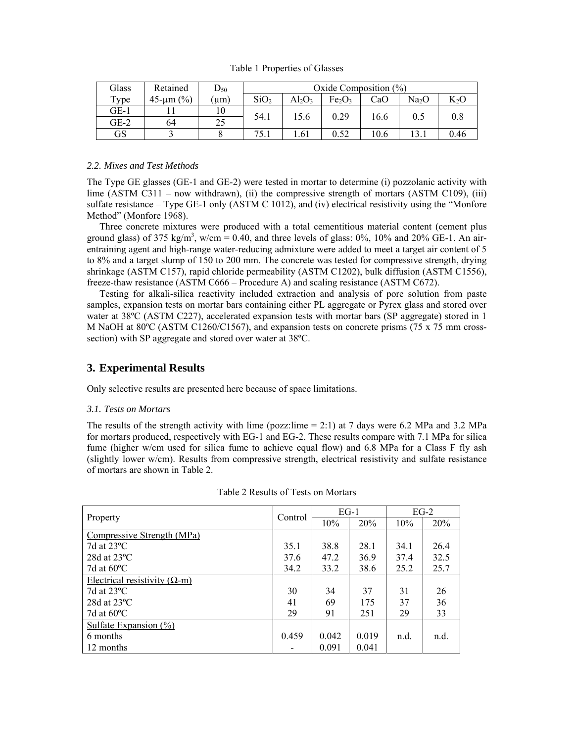| Glass  | Retained         | $\mathrm{D}_{50}$ | Oxide Composition $(\%)$ |           |                                |      |                   |        |
|--------|------------------|-------------------|--------------------------|-----------|--------------------------------|------|-------------------|--------|
| Type   | $45 - \mu m$ (%) | $\mu$ m           | SiO <sub>2</sub>         | $Al_2O_3$ | Fe <sub>2</sub> O <sub>3</sub> | CaO  | Na <sub>2</sub> O | $K_2C$ |
| $GE-1$ |                  | 10                |                          |           |                                |      |                   |        |
| $GE-2$ | 64               | 25                | 54.1                     | 15.6      | 0.29                           | 6.6  | 0.5               | 0.8    |
| GS     |                  |                   | 75.1                     | 1.61      | 0.52                           | 10.6 |                   | 0.46   |

Table 1 Properties of Glasses

### *2.2. Mixes and Test Methods*

The Type GE glasses (GE-1 and GE-2) were tested in mortar to determine (i) pozzolanic activity with lime (ASTM C311 – now withdrawn), (ii) the compressive strength of mortars (ASTM C109), (iii) sulfate resistance – Type GE-1 only (ASTM C 1012), and (iv) electrical resistivity using the "Monfore Method" (Monfore 1968).

Three concrete mixtures were produced with a total cementitious material content (cement plus ground glass) of 375 kg/m<sup>3</sup>, w/cm = 0.40, and three levels of glass: 0%, 10% and 20% GE-1. An airentraining agent and high-range water-reducing admixture were added to meet a target air content of 5 to 8% and a target slump of 150 to 200 mm. The concrete was tested for compressive strength, drying shrinkage (ASTM C157), rapid chloride permeability (ASTM C1202), bulk diffusion (ASTM C1556), freeze-thaw resistance (ASTM C666 – Procedure A) and scaling resistance (ASTM C672).

Testing for alkali-silica reactivity included extraction and analysis of pore solution from paste samples, expansion tests on mortar bars containing either PL aggregate or Pyrex glass and stored over water at 38ºC (ASTM C227), accelerated expansion tests with mortar bars (SP aggregate) stored in 1 M NaOH at 80°C (ASTM C1260/C1567), and expansion tests on concrete prisms (75 x 75 mm crosssection) with SP aggregate and stored over water at 38ºC.

# **3. Experimental Results**

Only selective results are presented here because of space limitations.

## *3.1. Tests on Mortars*

The results of the strength activity with lime (pozz:lime = 2:1) at 7 days were 6.2 MPa and 3.2 MPa for mortars produced, respectively with EG-1 and EG-2. These results compare with 7.1 MPa for silica fume (higher w/cm used for silica fume to achieve equal flow) and 6.8 MPa for a Class F fly ash (slightly lower w/cm). Results from compressive strength, electrical resistivity and sulfate resistance of mortars are shown in Table 2.

|                                       | Control | $EG-1$ |       | $EG-2$ |      |
|---------------------------------------|---------|--------|-------|--------|------|
| Property                              |         | 10%    | 20%   | 10%    | 20%  |
| Compressive Strength (MPa)            |         |        |       |        |      |
| 7d at $23^{\circ}$ C                  | 35.1    | 38.8   | 28.1  | 34.1   | 26.4 |
| $28d$ at $23^{\circ}$ C               | 37.6    | 47.2   | 36.9  | 37.4   | 32.5 |
| 7d at $60^{\circ}$ C                  | 34.2    | 33.2   | 38.6  | 25.2   | 25.7 |
| Electrical resistivity $(\Omega - m)$ |         |        |       |        |      |
| 7d at $23^{\circ}$ C                  | 30      | 34     | 37    | 31     | 26   |
| 28d at $23^{\circ}$ C                 | 41      | 69     | 175   | 37     | 36   |
| 7d at $60^{\circ}$ C                  | 29      | 91     | 251   | 29     | 33   |
| Sulfate Expansion $(\% )$             |         |        |       |        |      |
| 6 months                              | 0.459   | 0.042  | 0.019 | n.d.   | n.d. |
| 12 months                             |         | 0.091  | 0.041 |        |      |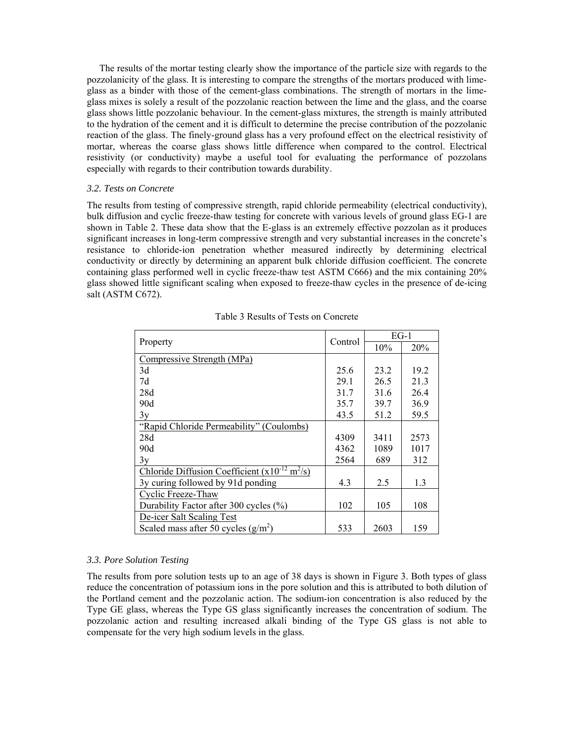The results of the mortar testing clearly show the importance of the particle size with regards to the pozzolanicity of the glass. It is interesting to compare the strengths of the mortars produced with limeglass as a binder with those of the cement-glass combinations. The strength of mortars in the limeglass mixes is solely a result of the pozzolanic reaction between the lime and the glass, and the coarse glass shows little pozzolanic behaviour. In the cement-glass mixtures, the strength is mainly attributed to the hydration of the cement and it is difficult to determine the precise contribution of the pozzolanic reaction of the glass. The finely-ground glass has a very profound effect on the electrical resistivity of mortar, whereas the coarse glass shows little difference when compared to the control. Electrical resistivity (or conductivity) maybe a useful tool for evaluating the performance of pozzolans especially with regards to their contribution towards durability.

## *3.2. Tests on Concrete*

The results from testing of compressive strength, rapid chloride permeability (electrical conductivity), bulk diffusion and cyclic freeze-thaw testing for concrete with various levels of ground glass EG-1 are shown in Table 2. These data show that the E-glass is an extremely effective pozzolan as it produces significant increases in long-term compressive strength and very substantial increases in the concrete's resistance to chloride-ion penetration whether measured indirectly by determining electrical conductivity or directly by determining an apparent bulk chloride diffusion coefficient. The concrete containing glass performed well in cyclic freeze-thaw test ASTM C666) and the mix containing 20% glass showed little significant scaling when exposed to freeze-thaw cycles in the presence of de-icing salt (ASTM C672).

|                                                                   | Control | $EG-1$ |      |  |
|-------------------------------------------------------------------|---------|--------|------|--|
| Property                                                          |         | 10%    | 20%  |  |
| Compressive Strength (MPa)                                        |         |        |      |  |
| 3d                                                                | 25.6    | 23.2   | 19.2 |  |
| 7d                                                                | 29.1    | 26.5   | 21.3 |  |
| 28d                                                               | 31.7    | 31.6   | 26.4 |  |
| 90d                                                               | 35.7    | 39.7   | 36.9 |  |
| 3y                                                                | 43.5    | 51.2   | 59.5 |  |
| "Rapid Chloride Permeability" (Coulombs)                          |         |        |      |  |
| 28d                                                               | 4309    | 3411   | 2573 |  |
| 90d                                                               | 4362    | 1089   | 1017 |  |
| 3y                                                                | 2564    | 689    | 312  |  |
| Chloride Diffusion Coefficient $(x10^{-12} \text{ m}^2/\text{s})$ |         |        |      |  |
| 3y curing followed by 91d ponding                                 | 4.3     | 2.5    | 1.3  |  |
| Cyclic Freeze-Thaw                                                |         |        |      |  |
| Durability Factor after 300 cycles (%)                            | 102     | 105    | 108  |  |
| De-icer Salt Scaling Test                                         |         |        |      |  |
| Scaled mass after 50 cycles $(g/m^2)$                             | 533     | 2603   | 159  |  |

### Table 3 Results of Tests on Concrete

### *3.3. Pore Solution Testing*

The results from pore solution tests up to an age of 38 days is shown in Figure 3. Both types of glass reduce the concentration of potassium ions in the pore solution and this is attributed to both dilution of the Portland cement and the pozzolanic action. The sodium-ion concentration is also reduced by the Type GE glass, whereas the Type GS glass significantly increases the concentration of sodium. The pozzolanic action and resulting increased alkali binding of the Type GS glass is not able to compensate for the very high sodium levels in the glass.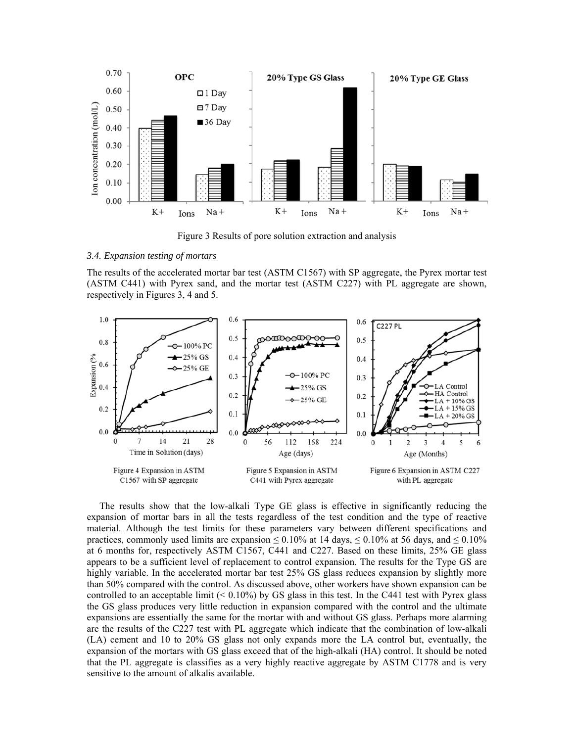

Figure 3 Results of pore solution extraction and analysis

### *3.4. Expansion testing of mortars*

The results of the accelerated mortar bar test (ASTM C1567) with SP aggregate, the Pyrex mortar test (ASTM C441) with Pyrex sand, and the mortar test (ASTM C227) with PL aggregate are shown, respectively in Figures 3, 4 and 5.



The results show that the low-alkali Type GE glass is effective in significantly reducing the expansion of mortar bars in all the tests regardless of the test condition and the type of reactive material. Although the test limits for these parameters vary between different specifications and practices, commonly used limits are expansion  $\leq 0.10\%$  at 14 days,  $\leq 0.10\%$  at 56 days, and  $\leq 0.10\%$ at 6 months for, respectively ASTM C1567, C441 and C227. Based on these limits, 25% GE glass appears to be a sufficient level of replacement to control expansion. The results for the Type GS are highly variable. In the accelerated mortar bar test 25% GS glass reduces expansion by slightly more than 50% compared with the control. As discussed above, other workers have shown expansion can be controlled to an acceptable limit  $( $0.10\%$ )$  by GS glass in this test. In the C441 test with Pyrex glass the GS glass produces very little reduction in expansion compared with the control and the ultimate expansions are essentially the same for the mortar with and without GS glass. Perhaps more alarming are the results of the C227 test with PL aggregate which indicate that the combination of low-alkali (LA) cement and 10 to 20% GS glass not only expands more the LA control but, eventually, the expansion of the mortars with GS glass exceed that of the high-alkali (HA) control. It should be noted that the PL aggregate is classifies as a very highly reactive aggregate by ASTM C1778 and is very sensitive to the amount of alkalis available.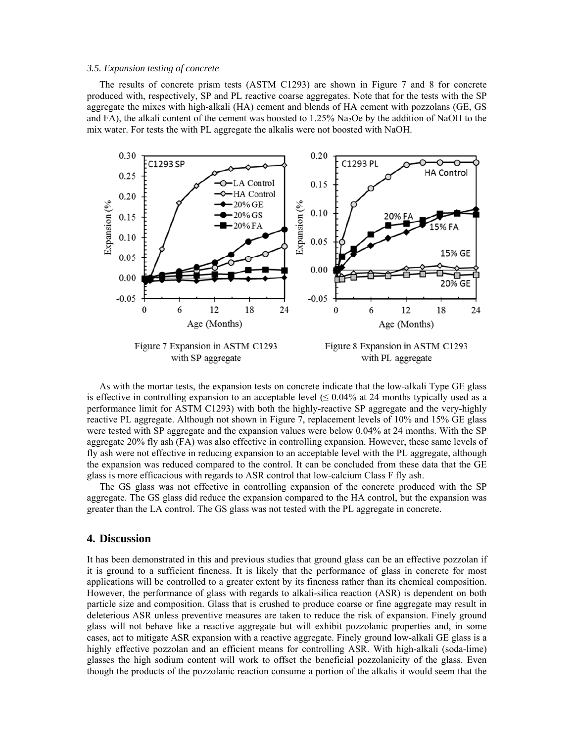#### *3.5. Expansion testing of concrete*

The results of concrete prism tests (ASTM C1293) are shown in Figure 7 and 8 for concrete produced with, respectively, SP and PL reactive coarse aggregates. Note that for the tests with the SP aggregate the mixes with high-alkali (HA) cement and blends of HA cement with pozzolans (GE, GS and FA), the alkali content of the cement was boosted to 1.25% Na2Oe by the addition of NaOH to the mix water. For tests the with PL aggregate the alkalis were not boosted with NaOH.



As with the mortar tests, the expansion tests on concrete indicate that the low-alkali Type GE glass is effective in controlling expansion to an acceptable level  $( \leq 0.04\%$  at 24 months typically used as a performance limit for ASTM C1293) with both the highly-reactive SP aggregate and the very-highly reactive PL aggregate. Although not shown in Figure 7, replacement levels of 10% and 15% GE glass were tested with SP aggregate and the expansion values were below 0.04% at 24 months. With the SP aggregate 20% fly ash (FA) was also effective in controlling expansion. However, these same levels of fly ash were not effective in reducing expansion to an acceptable level with the PL aggregate, although the expansion was reduced compared to the control. It can be concluded from these data that the GE glass is more efficacious with regards to ASR control that low-calcium Class F fly ash.

The GS glass was not effective in controlling expansion of the concrete produced with the SP aggregate. The GS glass did reduce the expansion compared to the HA control, but the expansion was greater than the LA control. The GS glass was not tested with the PL aggregate in concrete.

## **4. Discussion**

It has been demonstrated in this and previous studies that ground glass can be an effective pozzolan if it is ground to a sufficient fineness. It is likely that the performance of glass in concrete for most applications will be controlled to a greater extent by its fineness rather than its chemical composition. However, the performance of glass with regards to alkali-silica reaction (ASR) is dependent on both particle size and composition. Glass that is crushed to produce coarse or fine aggregate may result in deleterious ASR unless preventive measures are taken to reduce the risk of expansion. Finely ground glass will not behave like a reactive aggregate but will exhibit pozzolanic properties and, in some cases, act to mitigate ASR expansion with a reactive aggregate. Finely ground low-alkali GE glass is a highly effective pozzolan and an efficient means for controlling ASR. With high-alkali (soda-lime) glasses the high sodium content will work to offset the beneficial pozzolanicity of the glass. Even though the products of the pozzolanic reaction consume a portion of the alkalis it would seem that the